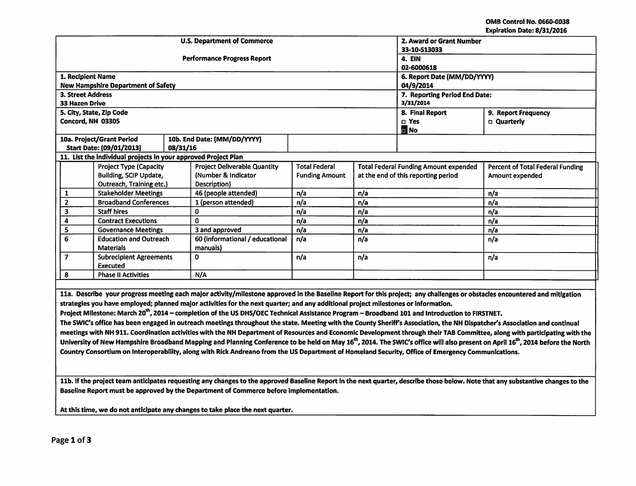OMB Control No. 0660-Q038 Expiration Date: 8/31/2016

| whation bate, or J17 2010<br><b>U.S. Department of Commerce</b><br>2. Award or Grant Number                                                                                |                                           |          |                                     |                               |                                              |                     |                                         |
|----------------------------------------------------------------------------------------------------------------------------------------------------------------------------|-------------------------------------------|----------|-------------------------------------|-------------------------------|----------------------------------------------|---------------------|-----------------------------------------|
|                                                                                                                                                                            |                                           |          |                                     | 33-10-S13033                  |                                              |                     |                                         |
|                                                                                                                                                                            |                                           |          | <b>Performance Progress Report</b>  | 4. EIN                        |                                              |                     |                                         |
|                                                                                                                                                                            |                                           |          |                                     | 02-6000618                    |                                              |                     |                                         |
| 1. Recipient Name                                                                                                                                                          |                                           |          |                                     | 6. Report Date (MM/DD/YYYY)   |                                              |                     |                                         |
|                                                                                                                                                                            | <b>New Hampshire Department of Safety</b> |          |                                     | 04/9/2014                     |                                              |                     |                                         |
| <b>3. Street Address</b>                                                                                                                                                   |                                           |          |                                     | 7. Reporting Period End Date: |                                              |                     |                                         |
| <b>33 Hazen Drive</b>                                                                                                                                                      |                                           |          |                                     |                               | 3/31/2014                                    |                     |                                         |
|                                                                                                                                                                            | 5. City, State, Zip Code                  |          |                                     |                               | 8. Final Report                              | 9. Report Frequency |                                         |
| Concord, NH 03305                                                                                                                                                          |                                           |          |                                     |                               |                                              | $\square$ Yes       | <b>D</b> Quarterly                      |
|                                                                                                                                                                            |                                           |          |                                     |                               |                                              | $\blacksquare$ No   |                                         |
|                                                                                                                                                                            | 10a. Project/Grant Period                 |          | 10b. End Date: (MM/DD/YYYY)         |                               |                                              |                     |                                         |
|                                                                                                                                                                            | Start Date: (09/01/2013)                  | 08/31/16 |                                     |                               |                                              |                     |                                         |
| 11. List the individual projects in your approved Project Plan                                                                                                             |                                           |          |                                     |                               |                                              |                     |                                         |
|                                                                                                                                                                            | <b>Project Type (Capacity</b>             |          | <b>Project Deliverable Quantity</b> | <b>Total Federal</b>          | <b>Total Federal Funding Amount expended</b> |                     | <b>Percent of Total Federal Funding</b> |
|                                                                                                                                                                            | Building, SCIP Update,                    |          | (Number & Indicator                 | <b>Funding Amount</b>         | at the end of this reporting period          |                     | Amount expended                         |
|                                                                                                                                                                            | Outreach, Training etc.)                  |          | Description)                        |                               |                                              |                     |                                         |
| 1                                                                                                                                                                          | <b>Stakeholder Meetings</b>               |          | 46 (people attended)                | n/a                           | n/a                                          |                     | n/a                                     |
| $\overline{\mathbf{2}}$                                                                                                                                                    | <b>Broadband Conferences</b>              |          | 1 (person attended)                 | n/a                           | n/a                                          |                     | n/a                                     |
| 3                                                                                                                                                                          | <b>Staff hires</b>                        |          | $\mathbf{0}$                        | n/a                           | n/a                                          |                     | n/a                                     |
| 4                                                                                                                                                                          | <b>Contract Executions</b>                |          | $\Omega$                            | n/a                           | n/a                                          |                     | n/a                                     |
| 5                                                                                                                                                                          | <b>Governance Meetings</b>                |          | 3 and approved                      | n/a                           | n/a                                          |                     | n/a                                     |
| 6                                                                                                                                                                          | <b>Education and Outreach</b>             |          | 60 (informational / educational     | n/a                           | n/a                                          |                     | n/a                                     |
|                                                                                                                                                                            | <b>Materials</b>                          |          | manuals)                            |                               |                                              |                     |                                         |
| $\overline{7}$                                                                                                                                                             | <b>Subrecipient Agreements</b>            |          | $\Omega$                            | n/a                           | n/a                                          |                     | n/a                                     |
|                                                                                                                                                                            | Executed                                  |          |                                     |                               |                                              |                     |                                         |
| 8                                                                                                                                                                          | <b>Phase II Activities</b>                |          | N/A                                 |                               |                                              |                     |                                         |
|                                                                                                                                                                            |                                           |          |                                     |                               |                                              |                     |                                         |
| 11a. Describe your progress meeting each major activity/milestone approved in the Baseline Report for this project; any challenges or obstacles encountered and mitigation |                                           |          |                                     |                               |                                              |                     |                                         |
| strategies you have employed; planned major activities for the next quarter; and any additional project milestones or information.                                         |                                           |          |                                     |                               |                                              |                     |                                         |
| Project Milestone: March 20 <sup>th</sup> , 2014 – completion of the US DHS/OEC Technical Assistance Program – Broadband 101 and Introduction to FIRSTNET.                 |                                           |          |                                     |                               |                                              |                     |                                         |
| The SWIC's office has been engaged in outreach meetings throughout the state. Meeting with the County Sheriff's Association, the NH Dispatcher's Association and continual |                                           |          |                                     |                               |                                              |                     |                                         |
| meetings with NH 911. Coordination activities with the NH Department of Resources and Economic Development through their TAB Committee, along with participating with the  |                                           |          |                                     |                               |                                              |                     |                                         |

meetings with NH 911. Coordination activities with the NH Department of Resources and Economic Development through their TAB Committee, along with participating with the University of New Hampshire Broadband Mapping and Planning Conference to be held on May 16<sup>th</sup>, 2014. The SWIC's office will also present on April 16<sup>th</sup>, 2014 before the North Country Consortium on lnteroperability, along with Rick Andreano from the US Department of Homeland Security, Office of Emergency Communications.

11b. If the project team anticipates requesting any changes to the approved Baseline Report in the next quarter, describe those below. Note that any substantive changes to the Baseline Report must be approved by the Department of Commerce before implementation.

At this time, we do not anticipate any changes to take place the next quarter.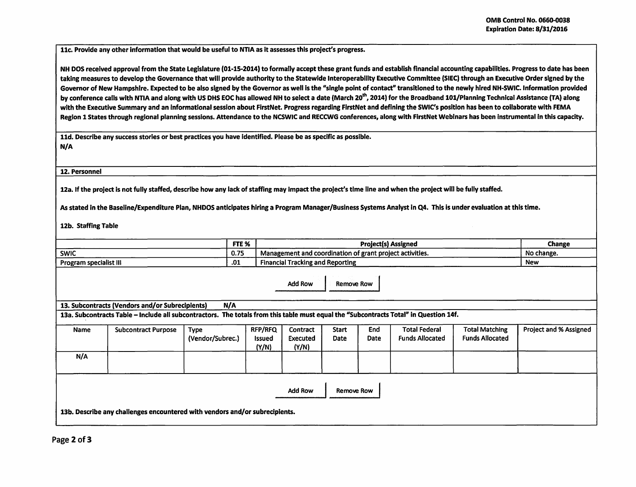11c. Provide any other information that would be useful to NTIA as it assesses this project's progress.

NH DOS received approval from the State Legislature (01-15-2014) to formally accept these grant funds and establish financial accounting capabilities. Progress to date has been taking measures to develop the Governance that will provide authority to the Statewide lnteroperabllity Executive Committee (SIEC) through an Executive Order signed by the Governor of New Hampshire. Expected to be also signed by the Governor as well is the "single point of contact" transitioned to the newly hired NH-SWIC. Information provided by conference calls with NTIA and along with US DHS EOC has allowed NH to select a date (March 20<sup>th</sup>, 2014) for the Broadband 101/Planning Technical Assistance (TA) along with the Executive Summary and an informational session about FirstNet. Progress regarding FirstNet and defining the SWIC's position has been to collaborate with FEMA Region 1 States through regional planning sessions. Attendance to the NCSWIC and RECCWG conferences, along with FirstNet Webinars has been instrumental in this capacity.

11d. Describe any success stories or best practices you have Identified. Please be as specific as possible. N/A

12. Personnel

12a. If the project is not fully staffed, describe how any lack of staffing may impact the project's time line and when the project will be fully staffed.

As stated in the Baseline/Expenditure Plan, NHDOS anticipates hiring a Program Manager/Business Systems Analyst in Q4. This is under evaluation at this time.

12b. Staffing Table

|                                                                                                                                       |                                                 | FTE %            |                        | <b>Project(s) Assigned</b>                               |                   |      |                        |                        | Change                        |
|---------------------------------------------------------------------------------------------------------------------------------------|-------------------------------------------------|------------------|------------------------|----------------------------------------------------------|-------------------|------|------------------------|------------------------|-------------------------------|
| <b>SWIC</b>                                                                                                                           |                                                 |                  |                        | Management and coordination of grant project activities. |                   |      |                        |                        | No change.                    |
| .01<br>Program specialist III                                                                                                         |                                                 |                  |                        | <b>Financial Tracking and Reporting</b>                  |                   |      |                        |                        | <b>New</b>                    |
|                                                                                                                                       |                                                 |                  |                        | Add Row                                                  | <b>Remove Row</b> |      |                        |                        |                               |
|                                                                                                                                       | 13. Subcontracts (Vendors and/or Subrecipients) | N/A              |                        |                                                          |                   |      |                        |                        |                               |
| 13a. Subcontracts Table – Include all subcontractors. The totals from this table must equal the "Subcontracts Total" in Question 14f. |                                                 |                  |                        |                                                          |                   |      |                        |                        |                               |
| Name                                                                                                                                  | <b>Subcontract Purpose</b>                      | <b>Type</b>      | <b>RFP/RFQ</b>         | <b>Contract</b>                                          | <b>Start</b>      | End  | <b>Total Federal</b>   | <b>Total Matching</b>  | <b>Project and % Assigned</b> |
|                                                                                                                                       |                                                 | (Vendor/Subrec.) | <b>Issued</b><br>(Y/N) | Executed<br>(Y/N)                                        | Date              | Date | <b>Funds Allocated</b> | <b>Funds Allocated</b> |                               |
| N/A                                                                                                                                   |                                                 |                  |                        |                                                          |                   |      |                        |                        |                               |
|                                                                                                                                       |                                                 |                  |                        |                                                          |                   |      |                        |                        |                               |
| <b>Add Row</b><br>Remove Row<br>13b. Describe any challenges encountered with vendors and/or subrecipients.                           |                                                 |                  |                        |                                                          |                   |      |                        |                        |                               |
|                                                                                                                                       |                                                 |                  |                        |                                                          |                   |      |                        |                        |                               |